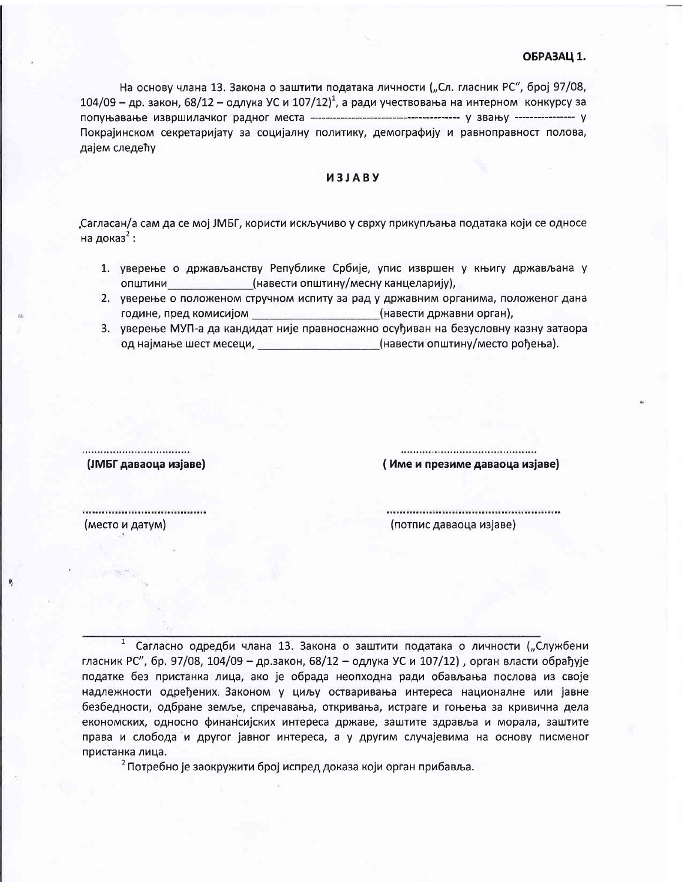На основу члана 13. Закона о заштити података личности ("Сл. гласник РС", број 97/08,  $104/09$  – др. закон, 68/12 – одлука УС и  $107/12$ , а ради учествовања на интерном конкурсу за Покрајинском секретаријату за социјалну политику, демографију и равноправност полова, дајем следећу

## *M3JABY*

Сагласан/а сам да се мој ЈМБГ, користи искључиво у сврху прикупљања података који се односе на доказ<sup>2</sup>:

- 1. уверење о држављанству Републике Србије, упис извршен у књигу држављана у општини (навести општину/месну канцеларију),
- 2. уверење о положеном стручном испиту за рад у државним органима, положеног дана године, пред комисијом (навести државни орган),
- 3. уверење МУП-а да кандидат није правноснажно осуђиван на безусловну казну затвора од најмање шест месеци, и подавање и станови (навести општину/место рођења).

(ЈМБГ даваоца изјаве)

(Име и презиме даваоца изјаве)

(место и датум)

(потпис даваоца изјаве)

 $\mathbf{1}$ Сагласно одредби члана 13. Закона о заштити података о личности ("Службени гласник РС", бр. 97/08, 104/09 - др.закон, 68/12 - одлука УС и 107/12), орган власти обрађује податке без пристанка лица, ако је обрада неопходна ради обављања послова из своје надлежности одређених Законом у циљу остваривања интереса националне или јавне безбедности, одбране земље, спречавања, откривања, истраге и гоњења за кривична дела економских, односно финансијских интереса државе, заштите здравља и морала, заштите права и слобода и другог јавног интереса, а у другим случајевима на основу писменог пристанка лица.

<sup>2</sup> Потребно је заокружити број испред доказа који орган прибавља.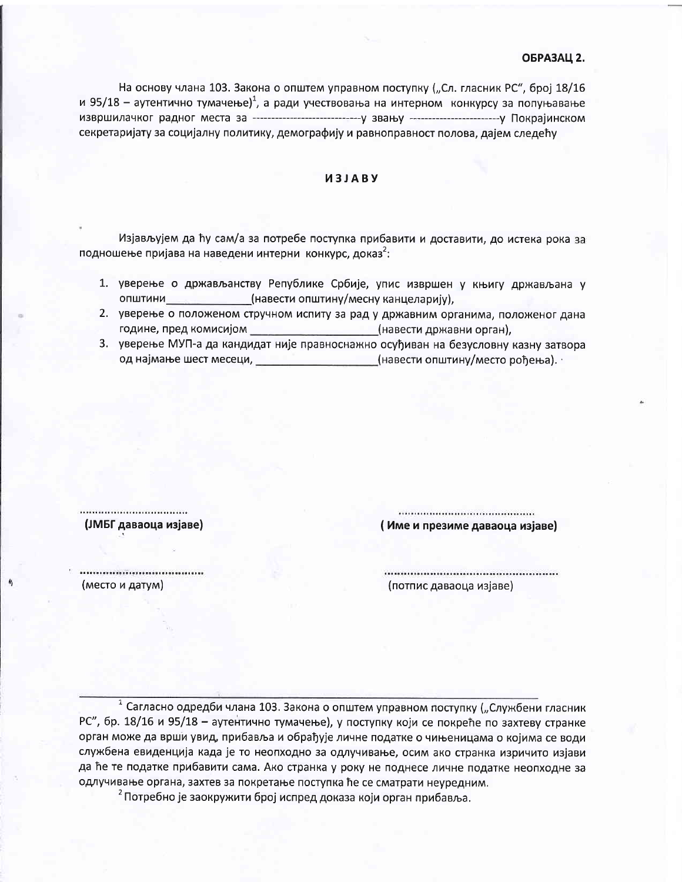## ОБРАЗАЦ 2.

На основу члана 103. Закона о општем управном поступку ("Сл. гласник РС", број 18/16 и 95/18 - аутентично тумачење)<sup>1</sup>, а ради учествовања на интерном конкурсу за попуњавање секретаријату за социјалну политику, демографију и равноправност полова, дајем следећу

## *U3JABY*

Изјављујем да ћу сам/а за потребе поступка прибавити и доставити, до истека рока за подношење пријава на наведени интерни конкурс, доказ<sup>2</sup>:

- 1. уверење о држављанству Републике Србије, упис извршен у књигу држављана у општини (навести општину/месну канцеларију),
- 2. уверење о положеном стручном испиту за рад у државним органима, положеног дана године, пред комисијом (навести државни орган),
- 3. уверење МУП-а да кандидат није правноснажно осуђиван на безусловну казну затвора од најмање шест месеци, и при податници (навести општину/место рођења).

................................ (ЈМБГ даваоца изјаве)

(Име и презиме даваоца изјаве)

................................ (место и датум)

(потпис даваоца изјаве)

1 Сагласно одредби члана 103. Закона о општем управном поступку ("Службени гласник РС", бр. 18/16 и 95/18 - аутентично тумачење), у поступку који се покреће по захтеву странке орган може да врши увид, прибавља и обрађује личне податке о чињеницама о којима се води службена евиденција када је то неопходно за одлучивање, осим ако странка изричито изјави да ће те податке прибавити сама. Ако странка у року не поднесе личне податке неопходне за одлучивање органа, захтев за покретање поступка ће се сматрати неуредним.

<sup>2</sup> Потребно је заокружити број испред доказа који орган прибавља.